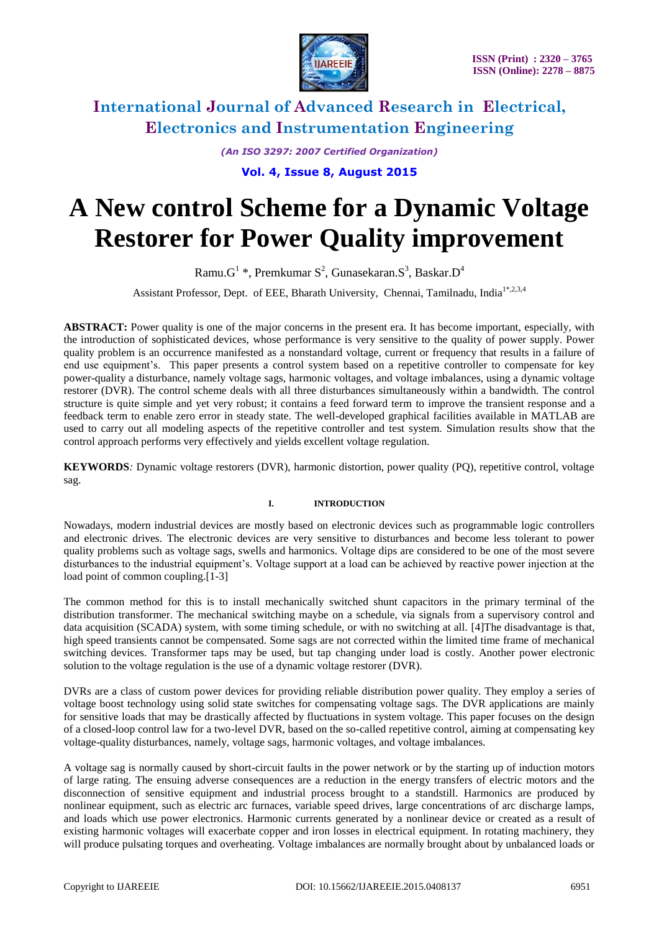

*(An ISO 3297: 2007 Certified Organization)*

**Vol. 4, Issue 8, August 2015**

# **A New control Scheme for a Dynamic Voltage Restorer for Power Quality improvement**

Ramu. $G^1$ \*, Premkumar  $S^2$ , Gunasekaran. $S^3$ , Baskar. $D^4$ 

Assistant Professor, Dept. of EEE, Bharath University, Chennai, Tamilnadu. India<sup>1\*,2,3,4</sup>

**ABSTRACT:** Power quality is one of the major concerns in the present era. It has become important, especially, with the introduction of sophisticated devices, whose performance is very sensitive to the quality of power supply. Power quality problem is an occurrence manifested as a nonstandard voltage, current or frequency that results in a failure of end use equipment's. This paper presents a control system based on a repetitive controller to compensate for key power-quality a disturbance, namely voltage sags, harmonic voltages, and voltage imbalances, using a dynamic voltage restorer (DVR). The control scheme deals with all three disturbances simultaneously within a bandwidth. The control structure is quite simple and yet very robust; it contains a feed forward term to improve the transient response and a feedback term to enable zero error in steady state. The well-developed graphical facilities available in MATLAB are used to carry out all modeling aspects of the repetitive controller and test system. Simulation results show that the control approach performs very effectively and yields excellent voltage regulation.

**KEYWORDS***:* Dynamic voltage restorers (DVR), harmonic distortion, power quality (PQ), repetitive control, voltage sag.

#### **I. INTRODUCTION**

Nowadays, modern industrial devices are mostly based on electronic devices such as programmable logic controllers and electronic drives. The electronic devices are very sensitive to disturbances and become less tolerant to power quality problems such as voltage sags, swells and harmonics. Voltage dips are considered to be one of the most severe disturbances to the industrial equipment's. Voltage support at a load can be achieved by reactive power injection at the load point of common coupling.<sup>[1-3]</sup>

The common method for this is to install mechanically switched shunt capacitors in the primary terminal of the distribution transformer. The mechanical switching maybe on a schedule, via signals from a supervisory control and data acquisition (SCADA) system, with some timing schedule, or with no switching at all. [4]The disadvantage is that, high speed transients cannot be compensated. Some sags are not corrected within the limited time frame of mechanical switching devices. Transformer taps may be used, but tap changing under load is costly. Another power electronic solution to the voltage regulation is the use of a dynamic voltage restorer (DVR).

DVRs are a class of custom power devices for providing reliable distribution power quality. They employ a series of voltage boost technology using solid state switches for compensating voltage sags. The DVR applications are mainly for sensitive loads that may be drastically affected by fluctuations in system voltage. This paper focuses on the design of a closed-loop control law for a two-level DVR, based on the so-called repetitive control, aiming at compensating key voltage-quality disturbances, namely, voltage sags, harmonic voltages, and voltage imbalances.

A voltage sag is normally caused by short-circuit faults in the power network or by the starting up of induction motors of large rating. The ensuing adverse consequences are a reduction in the energy transfers of electric motors and the disconnection of sensitive equipment and industrial process brought to a standstill. Harmonics are produced by nonlinear equipment, such as electric arc furnaces, variable speed drives, large concentrations of arc discharge lamps, and loads which use power electronics. Harmonic currents generated by a nonlinear device or created as a result of existing harmonic voltages will exacerbate copper and iron losses in electrical equipment. In rotating machinery, they will produce pulsating torques and overheating. Voltage imbalances are normally brought about by unbalanced loads or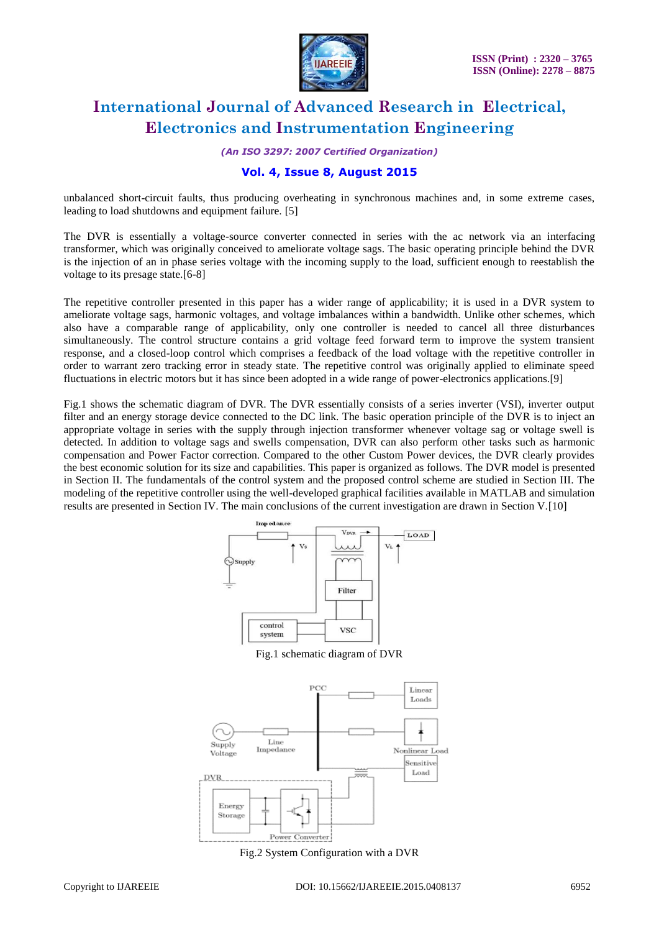

*(An ISO 3297: 2007 Certified Organization)*

### **Vol. 4, Issue 8, August 2015**

unbalanced short-circuit faults, thus producing overheating in synchronous machines and, in some extreme cases, leading to load shutdowns and equipment failure. [5]

The DVR is essentially a voltage-source converter connected in series with the ac network via an interfacing transformer, which was originally conceived to ameliorate voltage sags. The basic operating principle behind the DVR is the injection of an in phase series voltage with the incoming supply to the load, sufficient enough to reestablish the voltage to its presage state.[6-8]

The repetitive controller presented in this paper has a wider range of applicability; it is used in a DVR system to ameliorate voltage sags, harmonic voltages, and voltage imbalances within a bandwidth. Unlike other schemes, which also have a comparable range of applicability, only one controller is needed to cancel all three disturbances simultaneously. The control structure contains a grid voltage feed forward term to improve the system transient response, and a closed-loop control which comprises a feedback of the load voltage with the repetitive controller in order to warrant zero tracking error in steady state. The repetitive control was originally applied to eliminate speed fluctuations in electric motors but it has since been adopted in a wide range of power-electronics applications.[9]

Fig.1 shows the schematic diagram of DVR. The DVR essentially consists of a series inverter (VSI), inverter output filter and an energy storage device connected to the DC link. The basic operation principle of the DVR is to inject an appropriate voltage in series with the supply through injection transformer whenever voltage sag or voltage swell is detected. In addition to voltage sags and swells compensation, DVR can also perform other tasks such as harmonic compensation and Power Factor correction. Compared to the other Custom Power devices, the DVR clearly provides the best economic solution for its size and capabilities. This paper is organized as follows. The DVR model is presented in Section II. The fundamentals of the control system and the proposed control scheme are studied in Section III. The modeling of the repetitive controller using the well-developed graphical facilities available in MATLAB and simulation results are presented in Section IV. The main conclusions of the current investigation are drawn in Section V.[10]



Fig.1 schematic diagram of DVR



Fig.2 System Configuration with a DVR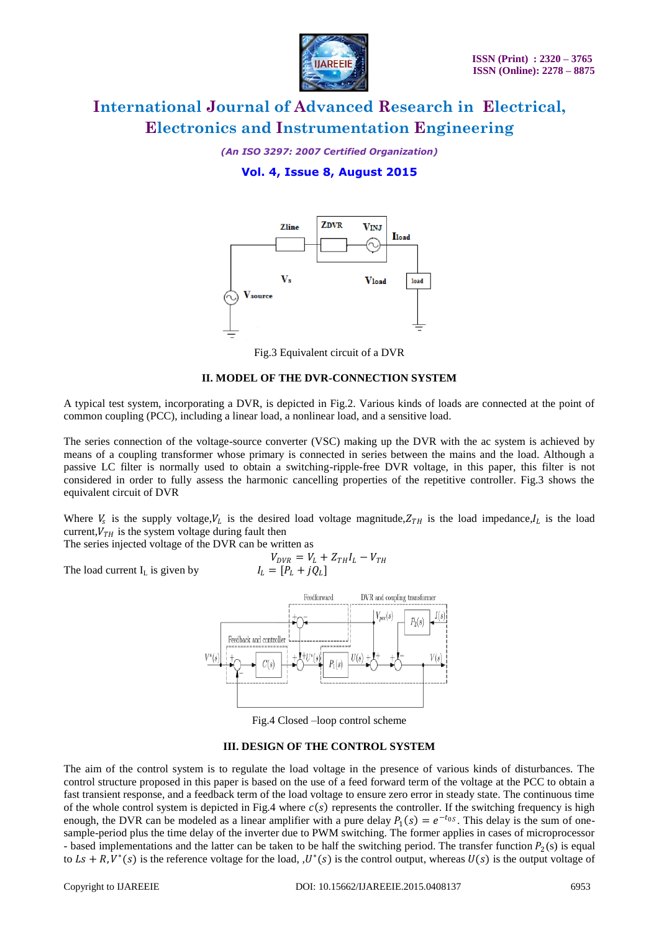

*(An ISO 3297: 2007 Certified Organization)*

### **Vol. 4, Issue 8, August 2015**



Fig.3 Equivalent circuit of a DVR

#### **II. MODEL OF THE DVR-CONNECTION SYSTEM**

A typical test system, incorporating a DVR, is depicted in Fig.2. Various kinds of loads are connected at the point of common coupling (PCC), including a linear load, a nonlinear load, and a sensitive load.

The series connection of the voltage-source converter (VSC) making up the DVR with the ac system is achieved by means of a coupling transformer whose primary is connected in series between the mains and the load. Although a passive LC filter is normally used to obtain a switching-ripple-free DVR voltage, in this paper, this filter is not considered in order to fully assess the harmonic cancelling properties of the repetitive controller. Fig.3 shows the equivalent circuit of DVR

Where  $V_s$  is the supply voltage,  $V_L$  is the desired load voltage magnitude,  $Z_{TH}$  is the load impedance,  $I_L$  is the load current,  $V_{TH}$  is the system voltage during fault then

The series injected voltage of the DVR can be written as

The load current  $I_L$  is given by  $I_I$ 

$$
V_{DVR} = V_L + Z_{TH}I_L - V_{TH}
$$
  

$$
V_L = [P_L + jQ_L]
$$



Fig.4 Closed –loop control scheme

#### **III. DESIGN OF THE CONTROL SYSTEM**

The aim of the control system is to regulate the load voltage in the presence of various kinds of disturbances. The control structure proposed in this paper is based on the use of a feed forward term of the voltage at the PCC to obtain a fast transient response, and a feedback term of the load voltage to ensure zero error in steady state. The continuous time of the whole control system is depicted in Fig.4 where  $c(s)$  represents the controller. If the switching frequency is high enough, the DVR can be modeled as a linear amplifier with a pure delay  $P_1(s) = e^{-t_0 s}$ . This delay is the sum of onesample-period plus the time delay of the inverter due to PWM switching. The former applies in cases of microprocessor - based implementations and the latter can be taken to be half the switching period. The transfer function  $P_2(s)$  is equal to  $Ls + R$ ,  $V^*(s)$  is the reference voltage for the load,  $U^*(s)$  is the control output, whereas  $U(s)$  is the output voltage of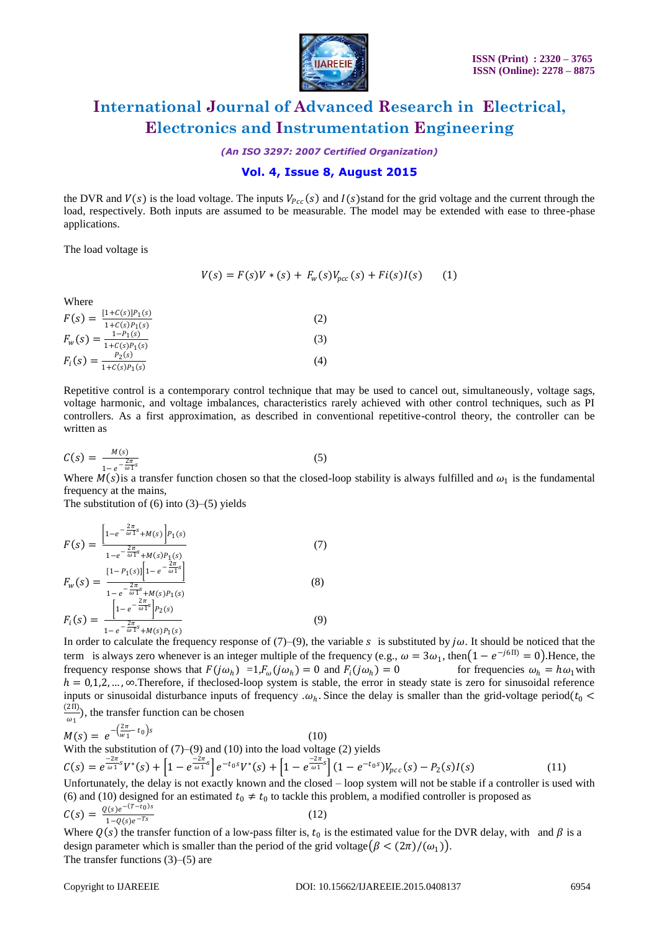

*(An ISO 3297: 2007 Certified Organization)*

### **Vol. 4, Issue 8, August 2015**

the DVR and  $V(s)$  is the load voltage. The inputs  $V_{Pcc}(s)$  and  $I(s)$  stand for the grid voltage and the current through the load, respectively. Both inputs are assumed to be measurable. The model may be extended with ease to three-phase applications.

The load voltage is

$$
V(s) = F(s)V * (s) + F_w(s)V_{pcc}(s) + Fi(s)I(s)
$$
 (1)

Where

| $[1+C(s)]P_1(s)$<br>$F(s) =$               | 2   |
|--------------------------------------------|-----|
| $1+C(s)P_1(s)$<br>$1-P_1(s)$<br>$F_w(s) =$ | (3) |
| $1+C(s)P_1(s)$<br>$P_2(s)$                 |     |
| $F_i(s) =$<br>$1+C(s)P_1(s)$               | 4   |

Repetitive control is a contemporary control technique that may be used to cancel out, simultaneously, voltage sags, voltage harmonic, and voltage imbalances, characteristics rarely achieved with other control techniques, such as PI controllers. As a first approximation, as described in conventional repetitive-control theory, the controller can be written as

$$
C(s) = \frac{M(s)}{1 - e^{-\frac{2\pi}{\omega_1 s}}}
$$
\n<sup>(5)</sup>

Where  $M(s)$  is a transfer function chosen so that the closed-loop stability is always fulfilled and  $\omega_1$  is the fundamental frequency at the mains,

The substitution of  $(6)$  into  $(3)$ – $(5)$  yields

$$
F(s) = \frac{\left[1 - e^{-\frac{2\pi}{\omega} s} + M(s)\right] P_1(s)}{1 - e^{-\frac{2\pi}{\omega} s} + M(s) P_1(s)} \tag{7}
$$
  
\n
$$
F_w(s) = \frac{1 - P_1(s)\left[1 - e^{-\frac{2\pi}{\omega} s}\right]}{1 - e^{-\frac{2\pi}{\omega} s} + M(s) P_1(s)} \tag{8}
$$
  
\n
$$
F_i(s) = \frac{\left[1 - e^{-\frac{2\pi}{\omega} s}\right] P_2(s)}{1 - e^{-\frac{2\pi}{\omega} s} + M(s) P_1(s)} \tag{9}
$$

In order to calculate the frequency response of (7)–(9), the variable s is substituted by  $j\omega$ . It should be noticed that the term is always zero whenever is an integer multiple of the frequency (e.g.,  $\omega = 3\omega_1$ , then  $(1 - e^{-j6\pi}) = 0$ ). Hence, the frequency response shows that  $F(j\omega_h) = 1, F_\omega(j\omega_h) = 0$  and  $F_i(j\omega_h)$ for frequencies  $\omega_h = h \omega_1$  with  $h = 0,1,2,..., \infty$ . Therefore, if the closed-loop system is stable, the error in steady state is zero for sinusoidal reference inputs or sinusoidal disturbance inputs of frequency  $\omega_h$ . Since the delay is smaller than the grid-voltage period( $t_0$  <  $(2\Pi)$  $\frac{2\pi i}{\omega_1}$ , the transfer function can be chosen

$$
M(s) = e^{-\left(\frac{2\pi}{w_1} - t_0\right)s}
$$

$$
M(s) = e^{-\left(\frac{2\pi}{w_1} - t_0\right)s}
$$
\n
$$
(10)
$$
\nWith the substitution of (7)–(9) and (10) into the load voltage (2) yields\n
$$
C(s) = e^{\frac{-2\pi}{\omega_1} s} V^*(s) + \left[1 - e^{\frac{-2\pi}{\omega_1} s}\right] e^{-t_0 s} V^*(s) + \left[1 - e^{\frac{-2\pi}{\omega_1} s}\right] \left(1 - e^{-t_0 s}\right) V_{pcc}(s) - P_2(s)I(s)
$$
\n
$$
(11)
$$

Unfortunately, the delay is not exactly known and the closed – loop system will not be stable if a controller is used with (6) and (10) designed for an estimated  $t_0 \neq t_0$  to tackle this problem, a modified controller is proposed as  $C(s) = \frac{Q(s)e^{-(T-t_0)s}}{1 - Q(s)-T_s}$  $1-Q(s)e^{-Ts}$ (12)

Where  $Q(s)$  the transfer function of a low-pass filter is,  $t_0$  is the estimated value for the DVR delay, with and  $\beta$  is a design parameter which is smaller than the period of the grid voltage  $(\beta < (2\pi)/(\omega_1))$ . The transfer functions (3)–(5) are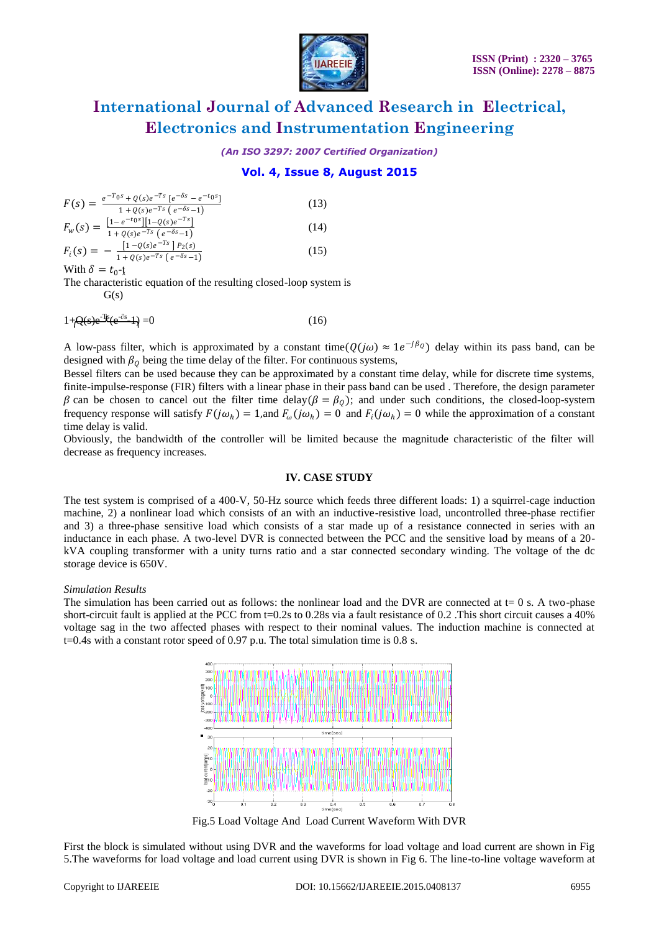

*(An ISO 3297: 2007 Certified Organization)*

### **Vol. 4, Issue 8, August 2015**

$$
F(s) = \frac{e^{-T_0 s} + Q(s)e^{-T s} [e^{-\delta s} - e^{-t_0 s}]}{1 + Q(s)e^{-T s} (e^{-\delta s} - 1)}
$$
(13)  
\n
$$
F_w(s) = \frac{[1 - e^{-t_0 s}][1 - Q(s)e^{-T s}]}{1 + Q(s)e^{-T s} (e^{-\delta s} - 1)}
$$
(14)  
\n
$$
F_i(s) = -\frac{[1 - Q(s)e^{-T s} ]P_2(s)}{1 + Q(s)e^{-T s} (e^{-\delta s} - 1)}
$$
(15)  
\nWith  $\delta = t_0$ 

With  $\delta = t_0$ -t

The characteristic equation of the resulting closed-loop system is  $G(s)$ 

$$
1 + Q(s)e^{-i\theta}(e^{-\delta s} - 1) = 0 \tag{16}
$$

A low-pass filter, which is approximated by a constant time $(Q(j\omega) \approx 1e^{-j\beta_Q})$  delay within its pass band, can be designed with  $\beta_0$  being the time delay of the filter. For continuous systems,

Bessel filters can be used because they can be approximated by a constant time delay, while for discrete time systems, finite-impulse-response (FIR) filters with a linear phase in their pass band can be used . Therefore, the design parameter  $\beta$  can be chosen to cancel out the filter time delay( $\beta = \beta_0$ ); and under such conditions, the closed-loop-system frequency response will satisfy  $F(j\omega_h) = 1$ , and  $F_\omega(j\omega_h) = 0$  and  $F_i(j\omega_h) = 0$  while the approximation of a constant time delay is valid.

Obviously, the bandwidth of the controller will be limited because the magnitude characteristic of the filter will decrease as frequency increases.

#### **IV. CASE STUDY**

The test system is comprised of a 400-V, 50-Hz source which feeds three different loads: 1) a squirrel-cage induction machine, 2) a nonlinear load which consists of an with an inductive-resistive load, uncontrolled three-phase rectifier and 3) a three-phase sensitive load which consists of a star made up of a resistance connected in series with an inductance in each phase. A two-level DVR is connected between the PCC and the sensitive load by means of a 20 kVA coupling transformer with a unity turns ratio and a star connected secondary winding. The voltage of the dc storage device is 650V.

#### *Simulation Results*

The simulation has been carried out as follows: the nonlinear load and the DVR are connected at  $t=0$  s. A two-phase short-circuit fault is applied at the PCC from t=0.2s to 0.28s via a fault resistance of 0.2 .This short circuit causes a 40% voltage sag in the two affected phases with respect to their nominal values. The induction machine is connected at  $t=0.4$ s with a constant rotor speed of 0.97 p.u. The total simulation time is 0.8 s.



Fig.5 Load Voltage And Load Current Waveform With DVR

First the block is simulated without using DVR and the waveforms for load voltage and load current are shown in Fig 5.The waveforms for load voltage and load current using DVR is shown in Fig 6. The line-to-line voltage waveform at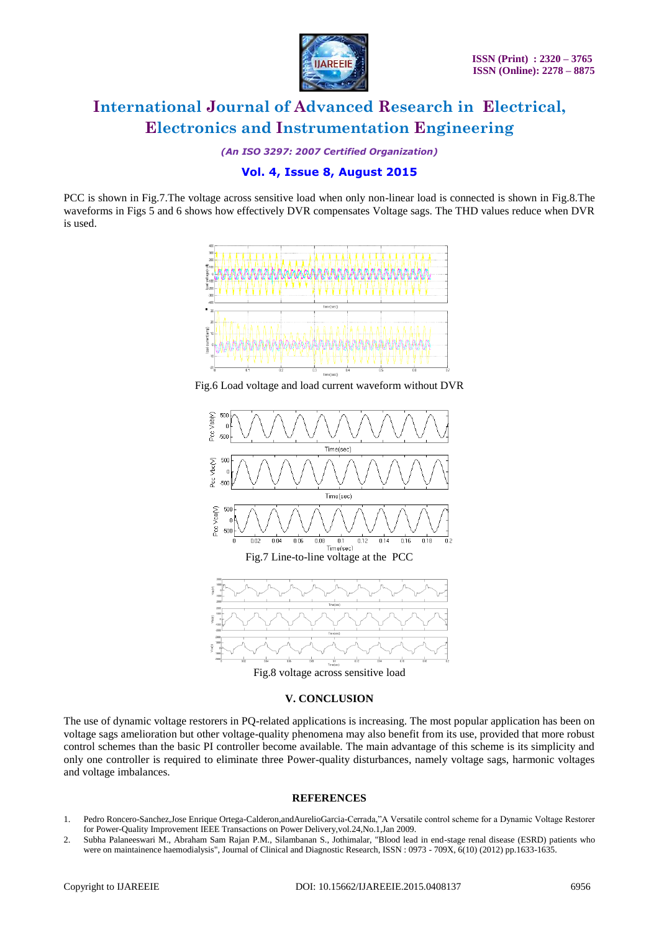

*(An ISO 3297: 2007 Certified Organization)*

### **Vol. 4, Issue 8, August 2015**

PCC is shown in Fig.7.The voltage across sensitive load when only non-linear load is connected is shown in Fig.8.The waveforms in Figs 5 and 6 shows how effectively DVR compensates Voltage sags. The THD values reduce when DVR is used.



Fig.6 Load voltage and load current waveform without DVR



Fig.8 voltage across sensitive load

#### **V. CONCLUSION**

The use of dynamic voltage restorers in PQ-related applications is increasing. The most popular application has been on voltage sags amelioration but other voltage-quality phenomena may also benefit from its use, provided that more robust control schemes than the basic PI controller become available. The main advantage of this scheme is its simplicity and only one controller is required to eliminate three Power-quality disturbances, namely voltage sags, harmonic voltages and voltage imbalances.

#### **REFERENCES**

- 1. Pedro Roncero-Sanchez,Jose Enrique Ortega-Calderon,andAurelioGarcia-Cerrada,"A Versatile control scheme for a Dynamic Voltage Restorer for Power-Quality Improvement IEEE Transactions on Power Delivery,vol.24,No.1,Jan 2009.
- 2. Subha Palaneeswari M., Abraham Sam Rajan P.M., Silambanan S., Jothimalar, "Blood lead in end-stage renal disease (ESRD) patients who were on maintainence haemodialysis", Journal of Clinical and Diagnostic Research, ISSN : 0973 - 709X, 6(10) (2012) pp.1633-1635.